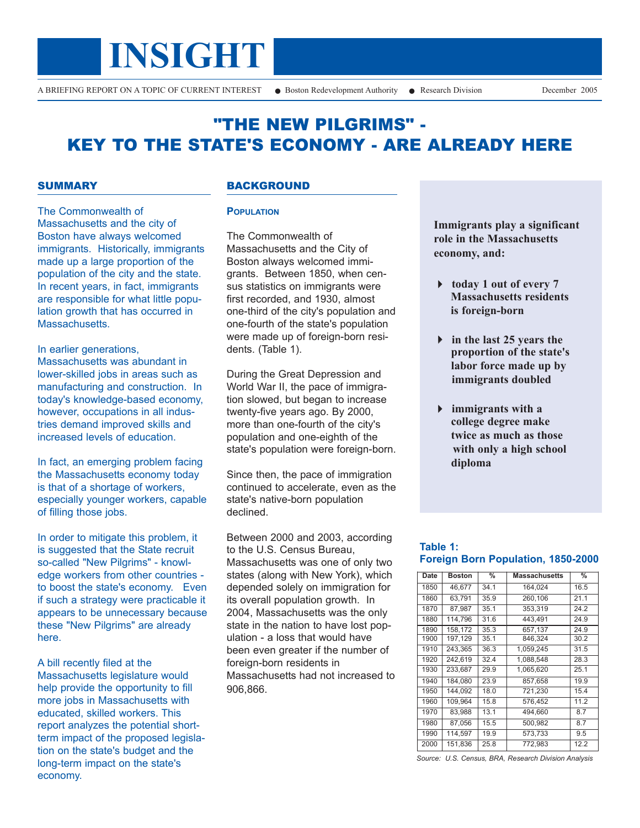

# "THE NEW PILGRIMS" - KEY TO THE STATE'S ECONOMY - ARE ALREADY HERE

## **SUMMARY**

The Commonwealth of Massachusetts and the city of Boston have always welcomed immigrants. Historically, immigrants made up a large proportion of the population of the city and the state. In recent years, in fact, immigrants are responsible for what little population growth that has occurred in Massachusetts.

In earlier generations, Massachusetts was abundant in lower-skilled jobs in areas such as manufacturing and construction. In today's knowledge-based economy, however, occupations in all industries demand improved skills and increased levels of education.

In fact, an emerging problem facing the Massachusetts economy today is that of a shortage of workers, especially younger workers, capable of filling those jobs.

In order to mitigate this problem, it is suggested that the State recruit so-called "New Pilgrims" - knowledge workers from other countries to boost the state's economy. Even if such a strategy were practicable it appears to be unnecessary because these "New Pilgrims" are already here.

A bill recently filed at the Massachusetts legislature would help provide the opportunity to fill more jobs in Massachusetts with educated, skilled workers. This report analyzes the potential shortterm impact of the proposed legislation on the state's budget and the long-term impact on the state's economy.

#### BACKGROUND

#### **POPULATION**

The Commonwealth of Massachusetts and the City of Boston always welcomed immigrants. Between 1850, when census statistics on immigrants were first recorded, and 1930, almost one-third of the city's population and one-fourth of the state's population were made up of foreign-born residents. (Table 1).

During the Great Depression and World War II, the pace of immigration slowed, but began to increase twenty-five years ago. By 2000, more than one-fourth of the city's population and one-eighth of the state's population were foreign-born.

Since then, the pace of immigration continued to accelerate, even as the state's native-born population declined.

Between 2000 and 2003, according to the U.S. Census Bureau, Massachusetts was one of only two states (along with New York), which depended solely on immigration for its overall population growth. In 2004, Massachusetts was the only state in the nation to have lost population - a loss that would have been even greater if the number of foreign-born residents in Massachusetts had not increased to 906,866.

**Immigrants play a significant role in the Massachusetts economy, and:**

- **today 1 out of every 7 Massachusetts residents is foreign-born**
- **in the last 25 years the proportion of the state's labor force made up by immigrants doubled**
- **immigrants with a college degree make twice as much as those with only a high school diploma**

#### **Table 1: Foreign Born Population, 1850-2000**

| Date | <b>Boston</b> | %    | <b>Massachusetts</b> | %    |
|------|---------------|------|----------------------|------|
| 1850 | 46.677        | 34.1 | 164.024              | 16.5 |
| 1860 | 63,791        | 35.9 | 260,106              | 21.1 |
| 1870 | 87,987        | 35.1 | 353,319              | 24.2 |
| 1880 | 114.796       | 31.6 | 443.491              | 24.9 |
| 1890 | 158,172       | 35.3 | 657.137              | 24.9 |
| 1900 | 197,129       | 35.1 | 846,324              | 30.2 |
| 1910 | 243,365       | 36.3 | 1.059.245            | 31.5 |
| 1920 | 242,619       | 32.4 | 1,088,548            | 28.3 |
| 1930 | 233,687       | 29.9 | 1,065,620            | 25.1 |
| 1940 | 184.080       | 23.9 | 857.658              | 19.9 |
| 1950 | 144.092       | 18.0 | 721.230              | 15.4 |
| 1960 | 109,964       | 15.8 | 576,452              | 11.2 |
| 1970 | 83,988        | 13.1 | 494,660              | 8.7  |
| 1980 | 87,056        | 15.5 | 500,982              | 8.7  |
| 1990 | 114,597       | 19.9 | 573.733              | 9.5  |
| 2000 | 151.836       | 25.8 | 772.983              | 12.2 |

*Source: U.S. Census, BRA, Research Division Analysis*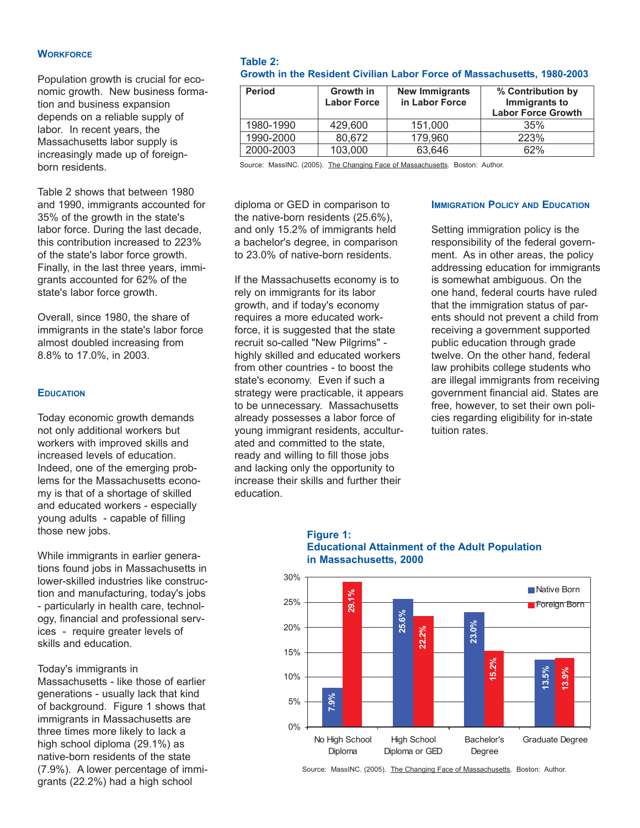#### **WORKFORCE**

Population growth is crucial for economic growth. New business formation and business expansion depends on a reliable supply of labor. In recent years, the Massachusetts labor supply is increasingly made up of foreignborn residents.

Table 2 shows that between 1980 and 1990, immigrants accounted for 35% of the growth in the state's labor force. During the last decade, this contribution increased to 223% of the state's labor force growth. Finally, in the last three years, immigrants accounted for 62% of the state's labor force growth.

Overall, since 1980, the share of immigrants in the state's labor force almost doubled increasing from 8.8% to 17.0%, in 2003.

#### **EDUCATION**

Today economic growth demands not only additional workers but workers with improved skills and increased levels of education. Indeed, one of the emerging problems for the Massachusetts economy is that of a shortage of skilled and educated workers - especially young adults - capable of filling those new jobs.

While immigrants in earlier generations found jobs in Massachusetts in lower-skilled industries like construction and manufacturing, today's jobs - particularly in health care, technology, financial and professional services - require greater levels of skills and education.

Today's immigrants in

Massachusetts - like those of earlier generations - usually lack that kind of background. Figure 1 shows that immigrants in Massachusetts are three times more likely to lack a high school diploma (29.1%) as native-born residents of the state (7.9%). A lower percentage of immigrants (22.2%) had a high school

#### **Table 2: Growth in the Resident Civilian Labor Force of Massachusetts, 1980-2003**

| <b>Period</b> | Growth in<br><b>Labor Force</b> | <b>New Immigrants</b><br>in Labor Force | % Contribution by<br>Immigrants to<br><b>Labor Force Growth</b> |
|---------------|---------------------------------|-----------------------------------------|-----------------------------------------------------------------|
| 1980-1990     | 429,600                         | 151.000                                 | 35%                                                             |
| 1990-2000     | 80,672                          | 179,960                                 | 223%                                                            |
| 2000-2003     | 103,000                         | 63.646                                  | 62%                                                             |

Source: MassINC. (2005). The Changing Face of Massachusetts. Boston: Author.

diploma or GED in comparison to the native-born residents (25.6%), and only 15.2% of immigrants held a bachelor's degree, in comparison to 23.0% of native-born residents.

If the Massachusetts economy is to rely on immigrants for its labor growth, and if today's economy requires a more educated workforce, it is suggested that the state recruit so-called "New Pilgrims" highly skilled and educated workers from other countries - to boost the state's economy. Even if such a strategy were practicable, it appears to be unnecessary. Massachusetts already possesses a labor force of young immigrant residents, acculturated and committed to the state, ready and willing to fill those jobs and lacking only the opportunity to increase their skills and further their education.

#### **IMMIGRATION POLICY AND EDUCATION**

Setting immigration policy is the responsibility of the federal government. As in other areas, the policy addressing education for immigrants is somewhat ambiguous. On the one hand, federal courts have ruled that the immigration status of parents should not prevent a child from receiving a government supported public education through grade twelve. On the other hand, federal law prohibits college students who are illegal immigrants from receiving government financial aid. States are free, however, to set their own policies regarding eligibility for in-state tuition rates.

#### **Figure 1: Educational Attainment of the Adult Population in Massachusetts, 2000**



Source: MassINC. (2005). The Changing Face of Massachusetts. Boston: Author.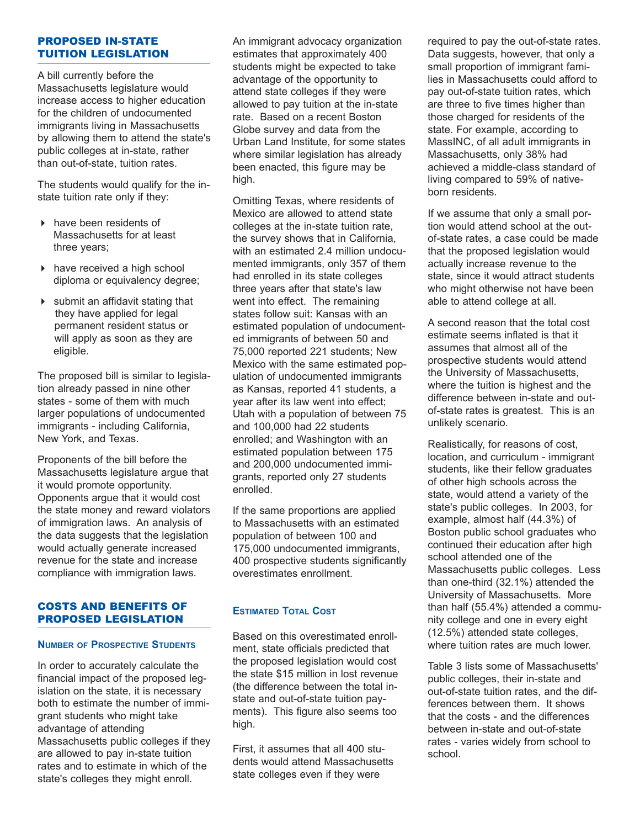## PROPOSED IN-STATE TUITION LEGISLATION

A bill currently before the Massachusetts legislature would increase access to higher education for the children of undocumented immigrants living in Massachusetts by allowing them to attend the state's public colleges at in-state, rather than out-of-state, tuition rates.

The students would qualify for the instate tuition rate only if they:

- $\triangleright$  have been residents of Massachusetts for at least three years;
- $\triangleright$  have received a high school diploma or equivalency degree;
- $\triangleright$  submit an affidavit stating that they have applied for legal permanent resident status or will apply as soon as they are eligible.

The proposed bill is similar to legislation already passed in nine other states - some of them with much larger populations of undocumented immigrants - including California, New York, and Texas.

Proponents of the bill before the Massachusetts legislature argue that it would promote opportunity. Opponents argue that it would cost the state money and reward violators of immigration laws. An analysis of the data suggests that the legislation would actually generate increased revenue for the state and increase compliance with immigration laws.

### COSTS AND BENEFITS OF PROPOSED LEGISLATION

#### **NUMBER OF PROSPECTIVE STUDENTS**

In order to accurately calculate the financial impact of the proposed legislation on the state, it is necessary both to estimate the number of immigrant students who might take advantage of attending Massachusetts public colleges if they are allowed to pay in-state tuition rates and to estimate in which of the state's colleges they might enroll.

An immigrant advocacy organization estimates that approximately 400 students might be expected to take advantage of the opportunity to attend state colleges if they were allowed to pay tuition at the in-state rate. Based on a recent Boston Globe survey and data from the Urban Land Institute, for some states where similar legislation has already been enacted, this figure may be high.

Omitting Texas, where residents of Mexico are allowed to attend state colleges at the in-state tuition rate, the survey shows that in California, with an estimated 2.4 million undocumented immigrants, only 357 of them had enrolled in its state colleges three years after that state's law went into effect. The remaining states follow suit: Kansas with an estimated population of undocumented immigrants of between 50 and 75,000 reported 221 students; New Mexico with the same estimated population of undocumented immigrants as Kansas, reported 41 students, a year after its law went into effect; Utah with a population of between 75 and 100,000 had 22 students enrolled; and Washington with an estimated population between 175 and 200,000 undocumented immigrants, reported only 27 students enrolled.

If the same proportions are applied to Massachusetts with an estimated population of between 100 and 175,000 undocumented immigrants, 400 prospective students significantly overestimates enrollment.

## **ESTIMATED TOTAL COST**

Based on this overestimated enrollment, state officials predicted that the proposed legislation would cost the state \$15 million in lost revenue (the difference between the total instate and out-of-state tuition payments). This figure also seems too high.

First, it assumes that all 400 students would attend Massachusetts state colleges even if they were

required to pay the out-of-state rates. Data suggests, however, that only a small proportion of immigrant families in Massachusetts could afford to pay out-of-state tuition rates, which are three to five times higher than those charged for residents of the state. For example, according to MassINC, of all adult immigrants in Massachusetts, only 38% had achieved a middle-class standard of living compared to 59% of nativeborn residents.

If we assume that only a small portion would attend school at the outof-state rates, a case could be made that the proposed legislation would actually increase revenue to the state, since it would attract students who might otherwise not have been able to attend college at all.

A second reason that the total cost estimate seems inflated is that it assumes that almost all of the prospective students would attend the University of Massachusetts, where the tuition is highest and the difference between in-state and outof-state rates is greatest. This is an unlikely scenario.

Realistically, for reasons of cost, location, and curriculum - immigrant students, like their fellow graduates of other high schools across the state, would attend a variety of the state's public colleges. In 2003, for example, almost half (44.3%) of Boston public school graduates who continued their education after high school attended one of the Massachusetts public colleges. Less than one-third (32.1%) attended the University of Massachusetts. More than half (55.4%) attended a community college and one in every eight (12.5%) attended state colleges, where tuition rates are much lower.

Table 3 lists some of Massachusetts' public colleges, their in-state and out-of-state tuition rates, and the differences between them. It shows that the costs - and the differences between in-state and out-of-state rates - varies widely from school to school.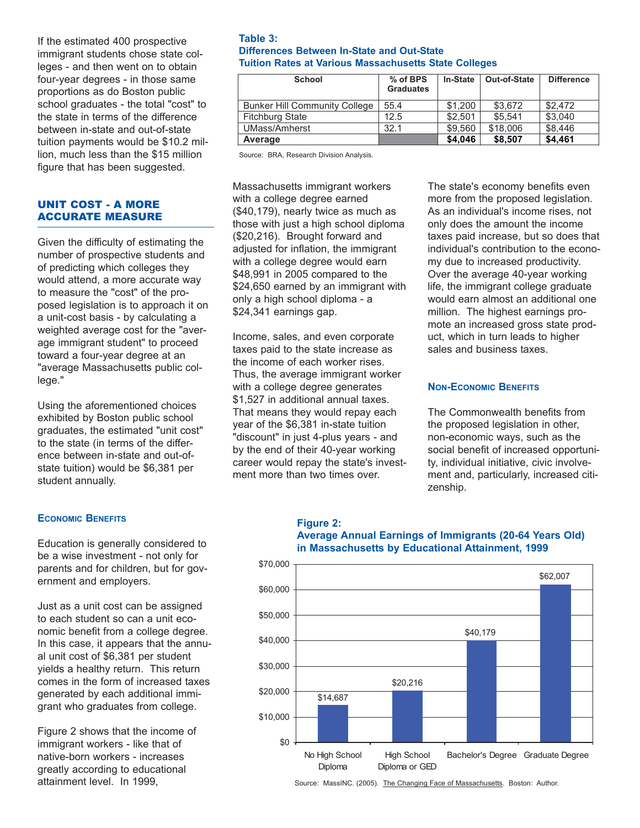If the estimated 400 prospective immigrant students chose state colleges - and then went on to obtain four-year degrees - in those same proportions as do Boston public school graduates - the total "cost" to the state in terms of the difference between in-state and out-of-state tuition payments would be \$10.2 million, much less than the \$15 million figure that has been suggested.

## UNIT COST - A MORE ACCURATE MEASURE

Given the difficulty of estimating the number of prospective students and of predicting which colleges they would attend, a more accurate way to measure the "cost" of the proposed legislation is to approach it on a unit-cost basis - by calculating a weighted average cost for the "average immigrant student" to proceed toward a four-year degree at an "average Massachusetts public college."

Using the aforementioned choices exhibited by Boston public school graduates, the estimated "unit cost" to the state (in terms of the difference between in-state and out-ofstate tuition) would be \$6,381 per student annually.

## **ECONOMIC BENEFITS**

Education is generally considered to be a wise investment - not only for parents and for children, but for government and employers.

Just as a unit cost can be assigned to each student so can a unit economic benefit from a college degree. In this case, it appears that the annual unit cost of \$6,381 per student yields a healthy return. This return comes in the form of increased taxes generated by each additional immigrant who graduates from college.

Figure 2 shows that the income of immigrant workers - like that of native-born workers - increases greatly according to educational attainment level. In 1999,

#### **Table 3: Differences Between In-State and Out-State Tuition Rates at Various Massachusetts State Colleges**

| <b>School</b>                        | % of BPS<br><b>Graduates</b> | <b>In-State</b> | Out-of-State | <b>Difference</b> |
|--------------------------------------|------------------------------|-----------------|--------------|-------------------|
| <b>Bunker Hill Community College</b> | 55.4                         | \$1,200         | \$3,672      | \$2,472           |
| <b>Fitchburg State</b>               | 12.5                         | \$2.501         | \$5.541      | \$3,040           |
| UMass/Amherst                        | 32.1                         | \$9.560         | \$18,006     | \$8,446           |
| Average                              |                              | \$4.046         | \$8.507      | \$4,461           |

Source: BRA, Research Division Analysis.

Massachusetts immigrant workers with a college degree earned (\$40,179), nearly twice as much as those with just a high school diploma (\$20,216). Brought forward and adiusted for inflation, the immigrant with a college degree would earn \$48,991 in 2005 compared to the \$24,650 earned by an immigrant with only a high school diploma - a \$24,341 earnings gap.

Income, sales, and even corporate taxes paid to the state increase as the income of each worker rises. Thus, the average immigrant worker with a college degree generates \$1,527 in additional annual taxes. That means they would repay each year of the \$6,381 in-state tuition "discount" in just 4-plus years - and by the end of their 40-year working career would repay the state's investment more than two times over.

The state's economy benefits even more from the proposed legislation. As an individual's income rises, not only does the amount the income taxes paid increase, but so does that individual's contribution to the economy due to increased productivity. Over the average 40-year working life, the immigrant college graduate would earn almost an additional one million. The highest earnings promote an increased gross state product, which in turn leads to higher sales and business taxes.

#### **NON-ECONOMIC BENEFITS**

The Commonwealth benefits from the proposed legislation in other, non-economic ways, such as the social benefit of increased opportunity, individual initiative, civic involvement and, particularly, increased citizenship.

## **Figure 2: Average Annual Earnings of Immigrants (20-64 Years Old) in Massachusetts by Educational Attainment, 1999**



Source: MassINC. (2005). The Changing Face of Massachusetts. Boston: Author.